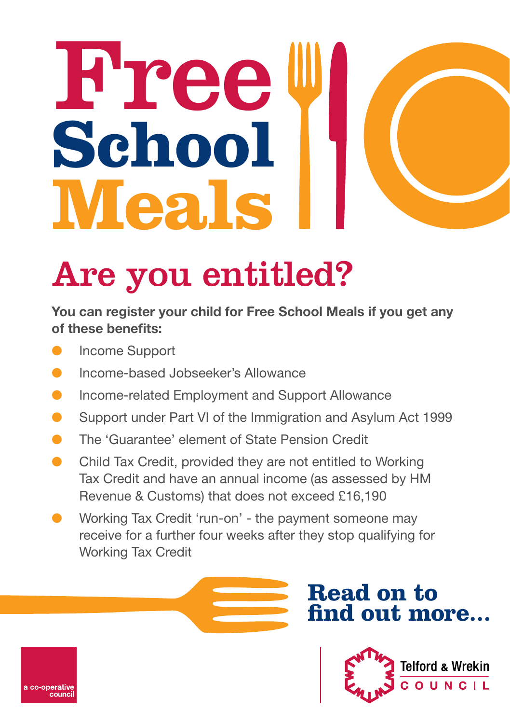# **Free School Meals**

## Are you entitled?

#### You can register your child for Free School Meals if you get any of these benefits:

Income Support

o-operativ

- l Income-based Jobseeker's Allowance
- Income-related Employment and Support Allowance
- Support under Part VI of the Immigration and Asylum Act 1999
- The 'Guarantee' element of State Pension Credit
- Child Tax Credit, provided they are not entitled to Working Tax Credit and have an annual income (as assessed by HM Revenue & Customs) that does not exceed £16,190
- Working Tax Credit 'run-on' the payment someone may receive for a further four weeks after they stop qualifying for Working Tax Credit